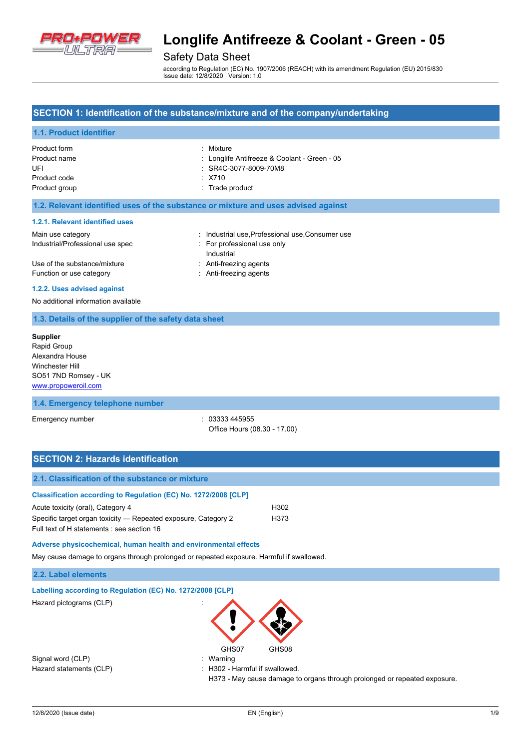

### Safety Data Sheet

according to Regulation (EC) No. 1907/2006 (REACH) with its amendment Regulation (EU) 2015/830 Issue date: 12/8/2020 Version: 1.0

### **SECTION 1: Identification of the substance/mixture and of the company/undertaking**

### **1.1. Product identifier**

| Product form  | : Mixture                                    |
|---------------|----------------------------------------------|
| Product name  | : Longlife Antifreeze & Coolant - Green - 05 |
| UFI           | : SR4C-3077-8009-70M8                        |
| Product code  | $\div$ X710                                  |
| Product group | : Trade product                              |

### **1.2. Relevant identified uses of the substance or mixture and uses advised against**

#### **1.2.1. Relevant identified uses**

| Main use category                | : Industrial use, Professional use, Consumer use |
|----------------------------------|--------------------------------------------------|
| Industrial/Professional use spec | : For professional use only                      |
|                                  | Industrial                                       |
| Use of the substance/mixture     | : Anti-freezing agents                           |
| Function or use category         | : Anti-freezing agents                           |

#### **1.2.2. Uses advised against**

No additional information available

### **1.3. Details of the supplier of the safety data sheet**

**Supplier** Rapid Group Alexandra House Winchester Hill SO51 7ND Romsey - UK <www.propoweroil.com>

### **1.4. Emergency telephone number**

Emergency number : 03333 445955 Office Hours (08.30 - 17.00)

| <b>SECTION 2: Hazards identification</b>                                                                     |                  |
|--------------------------------------------------------------------------------------------------------------|------------------|
| 2.1. Classification of the substance or mixture                                                              |                  |
| Classification according to Regulation (EC) No. 1272/2008 [CLP]                                              |                  |
| Acute toxicity (oral), Category 4                                                                            | H <sub>302</sub> |
| Specific target organ toxicity – Repeated exposure, Category 2<br>Full text of H statements : see section 16 | H373             |

### **Adverse physicochemical, human health and environmental effects**

May cause damage to organs through prolonged or repeated exposure. Harmful if swallowed.

| 2.2. Label elements                                        |                                |  |
|------------------------------------------------------------|--------------------------------|--|
| Labelling according to Regulation (EC) No. 1272/2008 [CLP] |                                |  |
| Hazard pictograms (CLP)                                    | GHS07<br>GHS08                 |  |
| Signal word (CLP)                                          | : Warning                      |  |
| Hazard statements (CLP)                                    | : H302 - Harmful if swallowed. |  |

H373 - May cause damage to organs through prolonged or repeated exposure.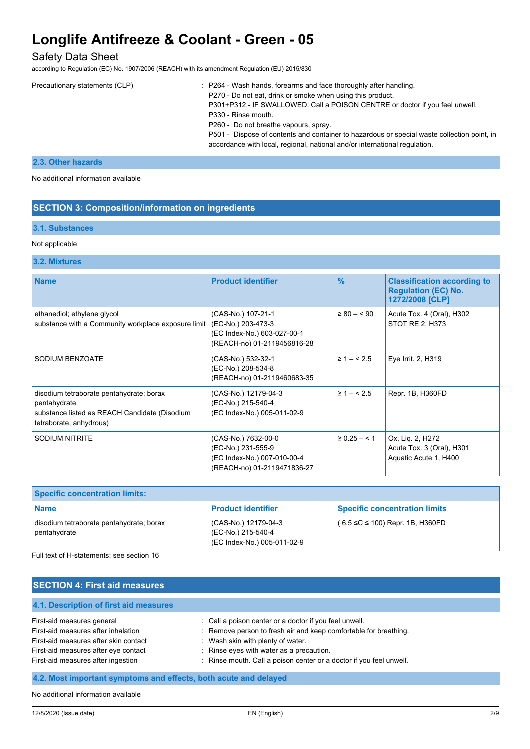### Safety Data Sheet

according to Regulation (EC) No. 1907/2006 (REACH) with its amendment Regulation (EU) 2015/830

| Precautionary statements (CLP) | $\therefore$ P264 - Wash hands, forearms and face thoroughly after handling.<br>P270 - Do not eat, drink or smoke when using this product.<br>P301+P312 - IF SWALLOWED: Call a POISON CENTRE or doctor if you feel unwell.<br>P330 - Rinse mouth.<br>P260 - Do not breathe vapours, spray.<br>P501 - Dispose of contents and container to hazardous or special waste collection point, in |
|--------------------------------|-------------------------------------------------------------------------------------------------------------------------------------------------------------------------------------------------------------------------------------------------------------------------------------------------------------------------------------------------------------------------------------------|
|                                | accordance with local, regional, national and/or international regulation.                                                                                                                                                                                                                                                                                                                |

### **2.3. Other hazards**

No additional information available

### **SECTION 3: Composition/information on ingredients**

### **3.1. Substances**

#### Not applicable

### **3.2. Mixtures**

| <b>Name</b>                                                                                                                          | <b>Product identifier</b>                                                                               | $\frac{9}{6}$     | <b>Classification according to</b><br><b>Regulation (EC) No.</b><br>1272/2008 [CLP] |
|--------------------------------------------------------------------------------------------------------------------------------------|---------------------------------------------------------------------------------------------------------|-------------------|-------------------------------------------------------------------------------------|
| ethanediol; ethylene glycol<br>substance with a Community workplace exposure limit                                                   | (CAS-No.) 107-21-1<br>(EC-No.) 203-473-3<br>(EC Index-No.) 603-027-00-1<br>(REACH-no) 01-2119456816-28  | $\geq 80 - 50$    | Acute Tox. 4 (Oral), H302<br>STOT RE 2, H373                                        |
| SODIUM BENZOATE                                                                                                                      | (CAS-No.) 532-32-1<br>(EC-No.) 208-534-8<br>(REACH-no) 01-2119460683-35                                 | $\geq 1 - 5.5$    | Eye Irrit. 2, H319                                                                  |
| disodium tetraborate pentahydrate; borax<br>pentahydrate<br>substance listed as REACH Candidate (Disodium<br>tetraborate, anhydrous) | (CAS-No.) 12179-04-3<br>(EC-No.) 215-540-4<br>(EC Index-No.) 005-011-02-9                               | $\geq 1 - 5.5$    | Repr. 1B, H360FD                                                                    |
| SODIUM NITRITE                                                                                                                       | (CAS-No.) 7632-00-0<br>(EC-No.) 231-555-9<br>(EC Index-No.) 007-010-00-4<br>(REACH-no) 01-2119471836-27 | $\geq 0.25 - 5.1$ | Ox. Lig. 2, H272<br>Acute Tox. 3 (Oral), H301<br>Aquatic Acute 1, H400              |

| <b>Specific concentration limits:</b>                    |                                                                           |                                      |
|----------------------------------------------------------|---------------------------------------------------------------------------|--------------------------------------|
| <b>Name</b>                                              | <b>Product identifier</b>                                                 | <b>Specific concentration limits</b> |
| disodium tetraborate pentahydrate; borax<br>pentahydrate | (CAS-No.) 12179-04-3<br>(EC-No.) 215-540-4<br>(EC Index-No.) 005-011-02-9 | $(6.5 ≤ C ≤ 100)$ Repr. 1B, H360FD   |

Full text of H-statements: see section 16

### **SECTION 4: First aid measures**

# **4.1. Description of first aid measures** First-aid measures general interest in the section of the call a poison center or a doctor if you feel unwell. First-aid measures after inhalation : Remove person to fresh air and keep comfortable for breathing. First-aid measures after skin contact : Wash skin with plenty of water. First-aid measures after eye contact : Rinse eyes with water as a precaution. First-aid measures after ingestion : Rinse mouth. Call a poison center or a doctor if you feel unwell.

### **4.2. Most important symptoms and effects, both acute and delayed**

No additional information available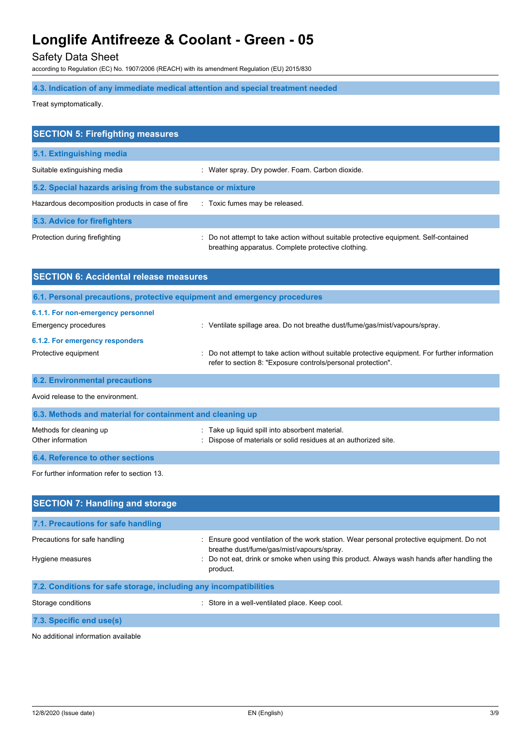Safety Data Sheet

according to Regulation (EC) No. 1907/2006 (REACH) with its amendment Regulation (EU) 2015/830

# **4.3. Indication of any immediate medical attention and special treatment needed**

Treat symptomatically.

| <b>SECTION 5: Firefighting measures</b>                    |                                                                                                                                           |  |
|------------------------------------------------------------|-------------------------------------------------------------------------------------------------------------------------------------------|--|
| 5.1. Extinguishing media                                   |                                                                                                                                           |  |
| Suitable extinguishing media                               | : Water spray. Dry powder. Foam. Carbon dioxide.                                                                                          |  |
| 5.2. Special hazards arising from the substance or mixture |                                                                                                                                           |  |
| Hazardous decomposition products in case of fire           | : Toxic fumes may be released.                                                                                                            |  |
| 5.3. Advice for firefighters                               |                                                                                                                                           |  |
| Protection during firefighting                             | Do not attempt to take action without suitable protective equipment. Self-contained<br>breathing apparatus. Complete protective clothing. |  |
| <b>SECTION 6: Accidental release measures</b>              |                                                                                                                                           |  |

|                                                            | 6.1. Personal precautions, protective equipment and emergency procedures                                                                                       |  |
|------------------------------------------------------------|----------------------------------------------------------------------------------------------------------------------------------------------------------------|--|
| 6.1.1. For non-emergency personnel<br>Emergency procedures | $\therefore$ Ventilate spillage area. Do not breathe dust/fume/gas/mist/vapours/spray.                                                                         |  |
| 6.1.2. For emergency responders                            |                                                                                                                                                                |  |
| Protective equipment                                       | : Do not attempt to take action without suitable protective equipment. For further information<br>refer to section 8: "Exposure controls/personal protection". |  |
| <b>6.2. Environmental precautions</b>                      |                                                                                                                                                                |  |
| Avoid release to the environment.                          |                                                                                                                                                                |  |
| 6.3. Methods and material for containment and cleaning up  |                                                                                                                                                                |  |

| Methods for cleaning up          | : Take up liquid spill into absorbent material.                 |
|----------------------------------|-----------------------------------------------------------------|
| Other information                | : Dispose of materials or solid residues at an authorized site. |
| 6.4. Reference to other sections |                                                                 |

For further information refer to section 13.

| <b>SECTION 7: Handling and storage</b>                            |                                                                                                                                                                                                                                                |  |
|-------------------------------------------------------------------|------------------------------------------------------------------------------------------------------------------------------------------------------------------------------------------------------------------------------------------------|--|
| 7.1. Precautions for safe handling                                |                                                                                                                                                                                                                                                |  |
| Precautions for safe handling<br>Hygiene measures                 | Ensure good ventilation of the work station. Wear personal protective equipment. Do not<br>breathe dust/fume/gas/mist/vapours/spray.<br>: Do not eat, drink or smoke when using this product. Always wash hands after handling the<br>product. |  |
| 7.2. Conditions for safe storage, including any incompatibilities |                                                                                                                                                                                                                                                |  |
| Storage conditions                                                | : Store in a well-ventilated place. Keep cool.                                                                                                                                                                                                 |  |

**7.3. Specific end use(s)**

No additional information available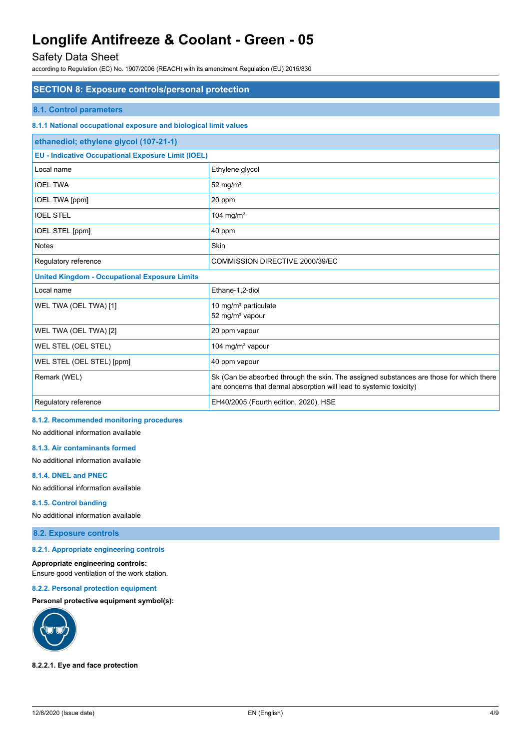# Safety Data Sheet

according to Regulation (EC) No. 1907/2006 (REACH) with its amendment Regulation (EU) 2015/830

| <b>SECTION 8: Exposure controls/personal protection</b>          |                                                                                                                                                                |  |
|------------------------------------------------------------------|----------------------------------------------------------------------------------------------------------------------------------------------------------------|--|
| <b>8.1. Control parameters</b>                                   |                                                                                                                                                                |  |
| 8.1.1 National occupational exposure and biological limit values |                                                                                                                                                                |  |
| ethanediol; ethylene glycol (107-21-1)                           |                                                                                                                                                                |  |
| <b>EU - Indicative Occupational Exposure Limit (IOEL)</b>        |                                                                                                                                                                |  |
| Local name                                                       | Ethylene glycol                                                                                                                                                |  |
| <b>IOEL TWA</b>                                                  | 52 mg/ $m3$                                                                                                                                                    |  |
| <b>IOEL TWA [ppm]</b>                                            | 20 ppm                                                                                                                                                         |  |
| <b>IOEL STEL</b>                                                 | 104 mg/m $3$                                                                                                                                                   |  |
| IOEL STEL [ppm]                                                  | 40 ppm                                                                                                                                                         |  |
| <b>Notes</b>                                                     | Skin                                                                                                                                                           |  |
| Regulatory reference                                             | COMMISSION DIRECTIVE 2000/39/EC                                                                                                                                |  |
| <b>United Kingdom - Occupational Exposure Limits</b>             |                                                                                                                                                                |  |
| Local name                                                       | Ethane-1.2-diol                                                                                                                                                |  |
| WEL TWA (OEL TWA) [1]                                            | 10 mg/m <sup>3</sup> particulate<br>52 mg/m <sup>3</sup> vapour                                                                                                |  |
| WEL TWA (OEL TWA) [2]                                            | 20 ppm vapour                                                                                                                                                  |  |
| WEL STEL (OEL STEL)                                              | 104 mg/m <sup>3</sup> vapour                                                                                                                                   |  |
| WEL STEL (OEL STEL) [ppm]                                        | 40 ppm vapour                                                                                                                                                  |  |
| Remark (WEL)                                                     | Sk (Can be absorbed through the skin. The assigned substances are those for which there<br>are concerns that dermal absorption will lead to systemic toxicity) |  |
| Regulatory reference                                             | EH40/2005 (Fourth edition, 2020). HSE                                                                                                                          |  |

### **8.1.2. Recommended monitoring procedures**

No additional information available

### **8.1.3. Air contaminants formed**

No additional information available

### **8.1.4. DNEL and PNEC**

No additional information available

#### **8.1.5. Control banding**

No additional information available

### **8.2. Exposure controls**

### **8.2.1. Appropriate engineering controls**

**Appropriate engineering controls:** Ensure good ventilation of the work station.

# **8.2.2. Personal protection equipment**

**Personal protective equipment symbol(s):**



### **8.2.2.1. Eye and face protection**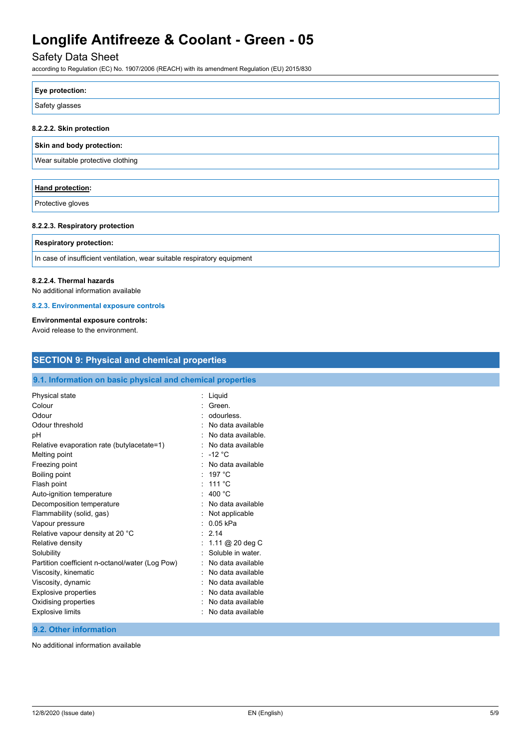# Safety Data Sheet

according to Regulation (EC) No. 1907/2006 (REACH) with its amendment Regulation (EU) 2015/830

| Eye protection: |  |
|-----------------|--|
| Safety glasses  |  |
|                 |  |

### **8.2.2.2. Skin protection**

### **Skin and body protection:**

Wear suitable protective clothing

| <b>Hand protection:</b> |  |
|-------------------------|--|
| Protective gloves       |  |

### **8.2.2.3. Respiratory protection**

### **Respiratory protection:**

In case of insufficient ventilation, wear suitable respiratory equipment

#### **8.2.2.4. Thermal hazards**

No additional information available

### **8.2.3. Environmental exposure controls**

### **Environmental exposure controls:**

Avoid release to the environment.

| 9.1. Information on basic physical and chemical properties |                        |  |
|------------------------------------------------------------|------------------------|--|
| Physical state                                             | : Liquid               |  |
| Colour                                                     | Green.                 |  |
| Odour                                                      | odourless.             |  |
| Odour threshold                                            | No data available<br>٠ |  |
| рH                                                         | No data available.     |  |
| Relative evaporation rate (butylacetate=1)                 | No data available      |  |
| Melting point                                              | : $-12 °C$             |  |
| Freezing point                                             | No data available      |  |
| Boiling point                                              | : 197 °C               |  |
| Flash point                                                | : 111 °C               |  |
| Auto-ignition temperature                                  | 400 °C                 |  |
| Decomposition temperature                                  | No data available      |  |
| Flammability (solid, gas)                                  | Not applicable         |  |
| Vapour pressure                                            | 0.05 kPa               |  |
| Relative vapour density at 20 °C                           | 2.14<br>÷.             |  |
| Relative density                                           | 1.11 @ 20 deg C        |  |
| Solubility                                                 | Soluble in water.      |  |
| Partition coefficient n-octanol/water (Log Pow)            | No data available      |  |
| Viscosity, kinematic                                       | No data available      |  |
| Viscosity, dynamic                                         | No data available      |  |
| <b>Explosive properties</b>                                | No data available<br>٠ |  |
| Oxidising properties                                       | No data available      |  |
| <b>Explosive limits</b>                                    | No data available      |  |

No additional information available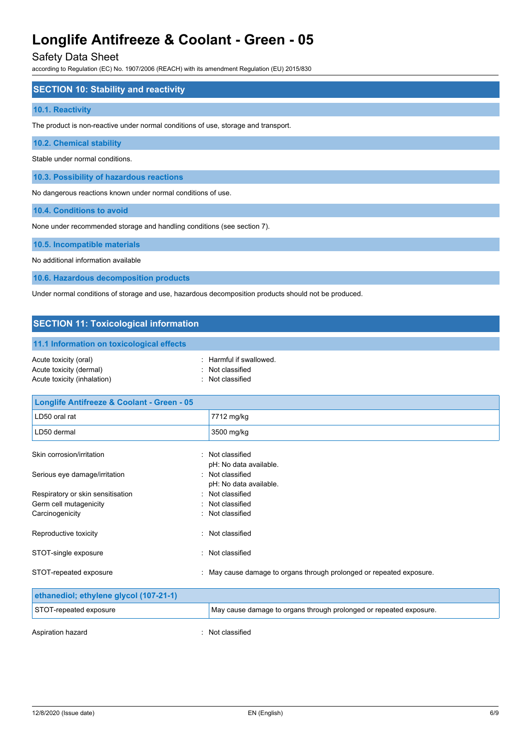### Safety Data Sheet

according to Regulation (EC) No. 1907/2006 (REACH) with its amendment Regulation (EU) 2015/830

### **SECTION 10: Stability and reactivity**

### **10.1. Reactivity**

The product is non-reactive under normal conditions of use, storage and transport.

### **10.2. Chemical stability**

Stable under normal conditions.

**10.3. Possibility of hazardous reactions**

No dangerous reactions known under normal conditions of use.

**10.4. Conditions to avoid**

None under recommended storage and handling conditions (see section 7).

#### **10.5. Incompatible materials**

No additional information available

**10.6. Hazardous decomposition products**

Under normal conditions of storage and use, hazardous decomposition products should not be produced.

# **SECTION 11: Toxicological information 11.1 Information on toxicological effects** Acute toxicity (oral)  $\blacksquare$  : Harmful if swallowed. Acute toxicity (dermal) **Example 20** Acute toxicity (dermal) Acute toxicity (inhalation) **Example 2** Contract 2 Contract 2 Contract 2 Contract 2 Contract 2 Contract 2 Contract 2 Contract 2 Contract 2 Contract 2 Contract 2 Contract 2 Contract 2 Contract 2 Contract 2 Contract 2 Contra **Longlife Antifreeze & Coolant - Green - 05**  LD50 oral rat 7712 mg/kg

| LD50 dermal                       | 3500 mg/kg                                                           |
|-----------------------------------|----------------------------------------------------------------------|
| Skin corrosion/irritation         | : Not classified                                                     |
|                                   | pH: No data available.                                               |
| Serious eye damage/irritation     | : Not classified                                                     |
|                                   | pH: No data available.                                               |
| Respiratory or skin sensitisation | : Not classified                                                     |
| Germ cell mutagenicity            | : Not classified                                                     |
| Carcinogenicity                   | : Not classified                                                     |
| Reproductive toxicity             | Not classified<br>٠.                                                 |
| STOT-single exposure              | : Not classified                                                     |
| STOT-repeated exposure            | : May cause damage to organs through prolonged or repeated exposure. |

| ethanediol; ethylene glycol (107-21-1) |                                                                    |
|----------------------------------------|--------------------------------------------------------------------|
| STOT-repeated exposure                 | May cause damage to organs through prolonged or repeated exposure. |
| Aspiration hazard                      | : Not classified                                                   |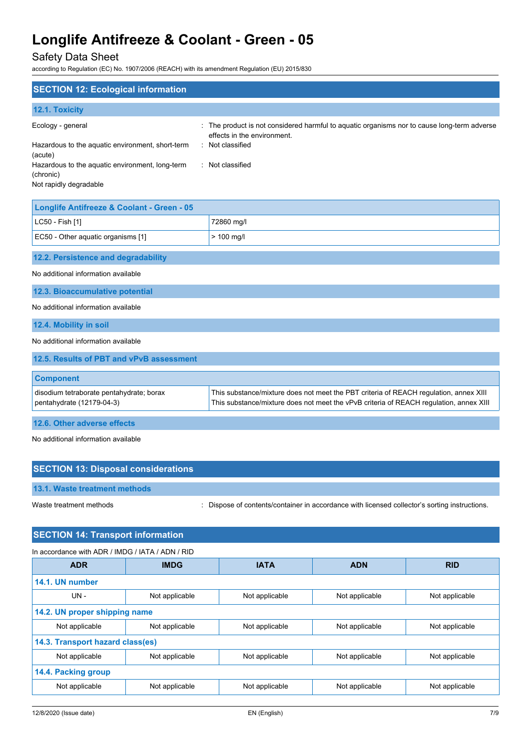# Safety Data Sheet

according to Regulation (EC) No. 1907/2006 (REACH) with its amendment Regulation (EU) 2015/830

| <b>SECTION 12: Ecological information</b>                             |                                                                                                                                                                                 |
|-----------------------------------------------------------------------|---------------------------------------------------------------------------------------------------------------------------------------------------------------------------------|
| 12.1. Toxicity                                                        |                                                                                                                                                                                 |
| Ecology - general                                                     | The product is not considered harmful to aquatic organisms nor to cause long-term adverse<br>effects in the environment.                                                        |
| Hazardous to the aquatic environment, short-term<br>(acute)           | : Not classified                                                                                                                                                                |
| Hazardous to the aquatic environment, long-term<br>(chronic)          | : Not classified                                                                                                                                                                |
| Not rapidly degradable                                                |                                                                                                                                                                                 |
| Longlife Antifreeze & Coolant - Green - 05                            |                                                                                                                                                                                 |
| LC50 - Fish [1]                                                       | 72860 mg/l                                                                                                                                                                      |
| EC50 - Other aquatic organisms [1]                                    | $> 100$ mg/l                                                                                                                                                                    |
| 12.2. Persistence and degradability                                   |                                                                                                                                                                                 |
| No additional information available                                   |                                                                                                                                                                                 |
| 12.3. Bioaccumulative potential                                       |                                                                                                                                                                                 |
| No additional information available                                   |                                                                                                                                                                                 |
| 12.4. Mobility in soil                                                |                                                                                                                                                                                 |
| No additional information available                                   |                                                                                                                                                                                 |
| 12.5. Results of PBT and vPvB assessment                              |                                                                                                                                                                                 |
| <b>Component</b>                                                      |                                                                                                                                                                                 |
| disodium tetraborate pentahydrate; borax<br>pentahydrate (12179-04-3) | This substance/mixture does not meet the PBT criteria of REACH regulation, annex XIII<br>This substance/mixture does not meet the vPvB criteria of REACH regulation, annex XIII |
| 12.6. Other adverse effects                                           |                                                                                                                                                                                 |

No additional information available

| <b>SECTION 13: Disposal considerations</b> |                                                                                               |
|--------------------------------------------|-----------------------------------------------------------------------------------------------|
| 13.1. Waste treatment methods              |                                                                                               |
| Waste treatment methods                    | : Dispose of contents/container in accordance with licensed collector's sorting instructions. |

### **SECTION 14: Transport information**

In accordance with ADR / IMDG / IATA / ADN / RID

| <b>ADR</b>                       | <b>IMDG</b>                   | <b>IATA</b>    | <b>ADN</b>     | <b>RID</b>     |
|----------------------------------|-------------------------------|----------------|----------------|----------------|
| 14.1. UN number                  |                               |                |                |                |
| UN-                              | Not applicable                | Not applicable | Not applicable | Not applicable |
|                                  | 14.2. UN proper shipping name |                |                |                |
| Not applicable                   | Not applicable                | Not applicable | Not applicable | Not applicable |
| 14.3. Transport hazard class(es) |                               |                |                |                |
| Not applicable                   | Not applicable                | Not applicable | Not applicable | Not applicable |
| 14.4. Packing group              |                               |                |                |                |
| Not applicable                   | Not applicable                | Not applicable | Not applicable | Not applicable |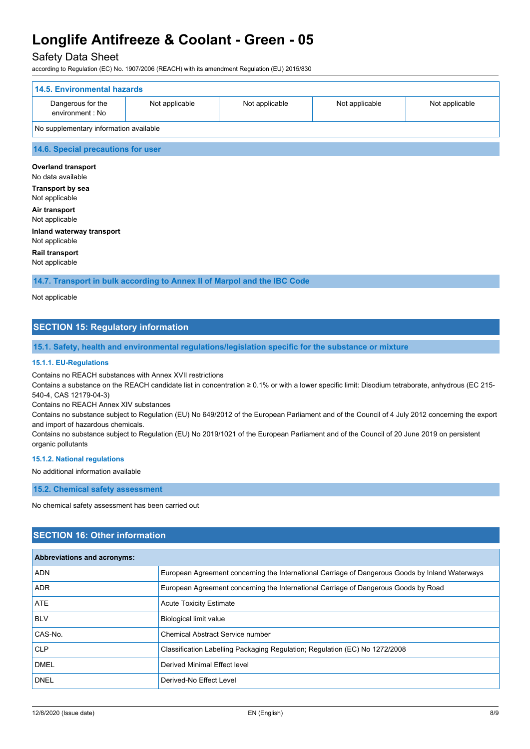### Safety Data Sheet

according to Regulation (EC) No. 1907/2006 (REACH) with its amendment Regulation (EU) 2015/830

| 14.5. Environmental hazards            |                |                |                |                |
|----------------------------------------|----------------|----------------|----------------|----------------|
| Dangerous for the<br>environment : No  | Not applicable | Not applicable | Not applicable | Not applicable |
| No supplementary information available |                |                |                |                |

### **14.6. Special precautions for user**

**Overland transport** No data available **Transport by sea** Not applicable **Air transport** Not applicable **Inland waterway transport** Not applicable

**Rail transport**

Not applicable

**14.7. Transport in bulk according to Annex II of Marpol and the IBC Code**

Not applicable

# **SECTION 15: Regulatory information**

**15.1. Safety, health and environmental regulations/legislation specific for the substance or mixture**

#### **15.1.1. EU-Regulations**

Contains no REACH substances with Annex XVII restrictions

Contains a substance on the REACH candidate list in concentration ≥ 0.1% or with a lower specific limit: Disodium tetraborate, anhydrous (EC 215- 540-4, CAS 12179-04-3)

Contains no REACH Annex XIV substances

Contains no substance subject to Regulation (EU) No 649/2012 of the European Parliament and of the Council of 4 July 2012 concerning the export and import of hazardous chemicals.

Contains no substance subject to Regulation (EU) No 2019/1021 of the European Parliament and of the Council of 20 June 2019 on persistent organic pollutants

#### **15.1.2. National regulations**

No additional information available

**15.2. Chemical safety assessment**

No chemical safety assessment has been carried out

### **SECTION 16: Other information**

| <b>Abbreviations and acronyms:</b> |                                                                                                 |
|------------------------------------|-------------------------------------------------------------------------------------------------|
| <b>ADN</b>                         | European Agreement concerning the International Carriage of Dangerous Goods by Inland Waterways |
| <b>ADR</b>                         | European Agreement concerning the International Carriage of Dangerous Goods by Road             |
| ATE                                | <b>Acute Toxicity Estimate</b>                                                                  |
| <b>BLV</b>                         | <b>Biological limit value</b>                                                                   |
| CAS-No.                            | Chemical Abstract Service number                                                                |
| <b>CLP</b>                         | Classification Labelling Packaging Regulation; Regulation (EC) No 1272/2008                     |
| <b>DMEL</b>                        | Derived Minimal Effect level                                                                    |
| <b>DNEL</b>                        | Derived-No Effect Level                                                                         |